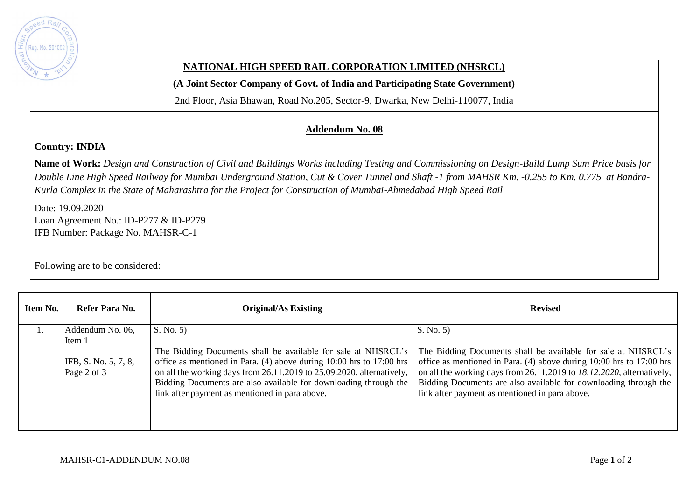

## **NATIONAL HIGH SPEED RAIL CORPORATION LIMITED (NHSRCL)**

**(A Joint Sector Company of Govt. of India and Participating State Government)** 

2nd Floor, Asia Bhawan, Road No.205, Sector-9, Dwarka, New Delhi-110077, India

## **Addendum No. 08**

## **Country: INDIA**

**Name of Work:** *Design and Construction of Civil and Buildings Works including Testing and Commissioning on Design-Build Lump Sum Price basis for Double Line High Speed Railway for Mumbai Underground Station, Cut & Cover Tunnel and Shaft -1 from MAHSR Km. -0.255 to Km. 0.775 at Bandra-Kurla Complex in the State of Maharashtra for the Project for Construction of Mumbai-Ahmedabad High Speed Rail*

Date: 19.09.2020 Loan Agreement No.: ID-P277 & ID-P279 IFB Number: Package No. MAHSR-C-1

Following are to be considered:

| Item No. | Refer Para No.                                                    | <b>Original/As Existing</b>                                                                                                                                                                                                                                                                                                                      | <b>Revised</b>                                                                                                                                                                                                                                                                                                                                   |
|----------|-------------------------------------------------------------------|--------------------------------------------------------------------------------------------------------------------------------------------------------------------------------------------------------------------------------------------------------------------------------------------------------------------------------------------------|--------------------------------------------------------------------------------------------------------------------------------------------------------------------------------------------------------------------------------------------------------------------------------------------------------------------------------------------------|
|          | Addendum No. 06,<br>Item 1<br>IFB, S. No. 5, 7, 8,<br>Page 2 of 3 | S. No. 5<br>The Bidding Documents shall be available for sale at NHSRCL's<br>office as mentioned in Para. (4) above during 10:00 hrs to 17:00 hrs<br>on all the working days from 26.11.2019 to 25.09.2020, alternatively,<br>Bidding Documents are also available for downloading through the<br>link after payment as mentioned in para above. | S. No. 5<br>The Bidding Documents shall be available for sale at NHSRCL's<br>office as mentioned in Para. (4) above during 10:00 hrs to 17:00 hrs<br>on all the working days from 26.11.2019 to 18.12.2020, alternatively,<br>Bidding Documents are also available for downloading through the<br>link after payment as mentioned in para above. |